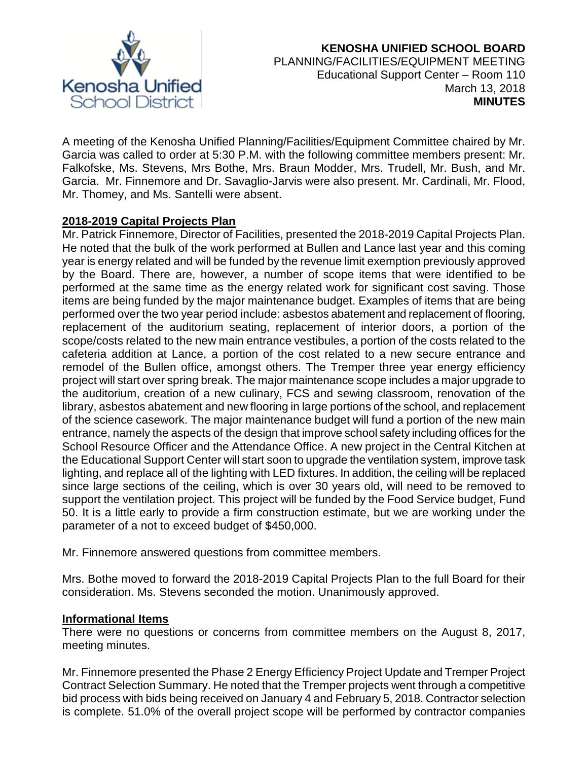

## **KENOSHA UNIFIED SCHOOL BOARD** PLANNING/FACILITIES/EQUIPMENT MEETING Educational Support Center – Room 110 March 13, 2018 **MINUTES**

A meeting of the Kenosha Unified Planning/Facilities/Equipment Committee chaired by Mr. Garcia was called to order at 5:30 P.M. with the following committee members present: Mr. Falkofske, Ms. Stevens, Mrs Bothe, Mrs. Braun Modder, Mrs. Trudell, Mr. Bush, and Mr. Garcia. Mr. Finnemore and Dr. Savaglio-Jarvis were also present. Mr. Cardinali, Mr. Flood, Mr. Thomey, and Ms. Santelli were absent.

## **2018-2019 Capital Projects Plan**

Mr. Patrick Finnemore, Director of Facilities, presented the 2018-2019 Capital Projects Plan. He noted that the bulk of the work performed at Bullen and Lance last year and this coming year is energy related and will be funded by the revenue limit exemption previously approved by the Board. There are, however, a number of scope items that were identified to be performed at the same time as the energy related work for significant cost saving. Those items are being funded by the major maintenance budget. Examples of items that are being performed over the two year period include: asbestos abatement and replacement of flooring, replacement of the auditorium seating, replacement of interior doors, a portion of the scope/costs related to the new main entrance vestibules, a portion of the costs related to the cafeteria addition at Lance, a portion of the cost related to a new secure entrance and remodel of the Bullen office, amongst others. The Tremper three year energy efficiency project will start over spring break. The major maintenance scope includes a major upgrade to the auditorium, creation of a new culinary, FCS and sewing classroom, renovation of the library, asbestos abatement and new flooring in large portions of the school, and replacement of the science casework. The major maintenance budget will fund a portion of the new main entrance, namely the aspects of the design that improve school safety including offices for the School Resource Officer and the Attendance Office. A new project in the Central Kitchen at the Educational Support Center will start soon to upgrade the ventilation system, improve task lighting, and replace all of the lighting with LED fixtures. In addition, the ceiling will be replaced since large sections of the ceiling, which is over 30 years old, will need to be removed to support the ventilation project. This project will be funded by the Food Service budget, Fund 50. It is a little early to provide a firm construction estimate, but we are working under the parameter of a not to exceed budget of \$450,000.

Mr. Finnemore answered questions from committee members.

Mrs. Bothe moved to forward the 2018-2019 Capital Projects Plan to the full Board for their consideration. Ms. Stevens seconded the motion. Unanimously approved.

### **Informational Items**

There were no questions or concerns from committee members on the August 8, 2017, meeting minutes.

Mr. Finnemore presented the Phase 2 Energy Efficiency Project Update and Tremper Project Contract Selection Summary. He noted that the Tremper projects went through a competitive bid process with bids being received on January 4 and February 5, 2018. Contractor selection is complete. 51.0% of the overall project scope will be performed by contractor companies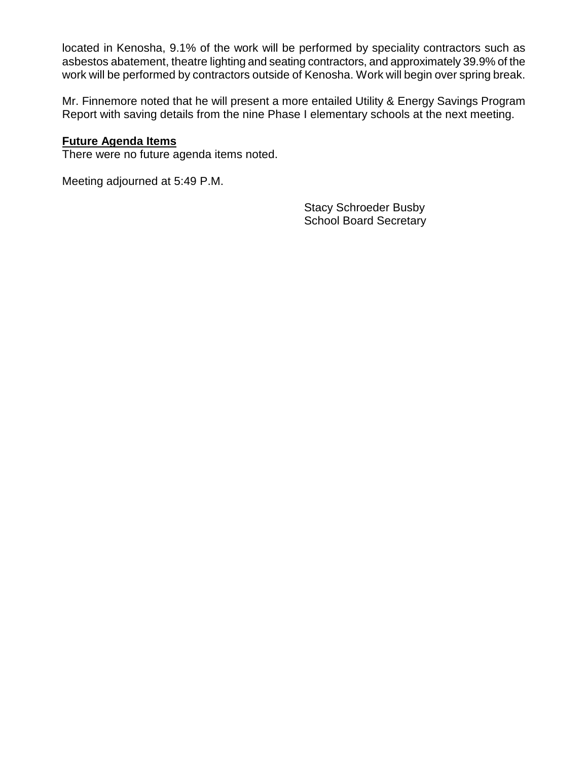located in Kenosha, 9.1% of the work will be performed by speciality contractors such as asbestos abatement, theatre lighting and seating contractors, and approximately 39.9% of the work will be performed by contractors outside of Kenosha. Work will begin over spring break.

Mr. Finnemore noted that he will present a more entailed Utility & Energy Savings Program Report with saving details from the nine Phase I elementary schools at the next meeting.

### **Future Agenda Items**

There were no future agenda items noted.

Meeting adjourned at 5:49 P.M.

Stacy Schroeder Busby School Board Secretary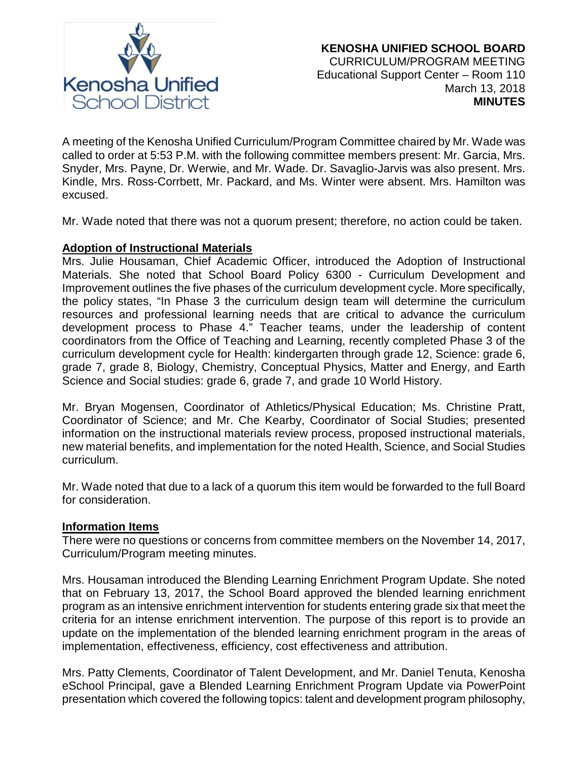

A meeting of the Kenosha Unified Curriculum/Program Committee chaired by Mr. Wade was called to order at 5:53 P.M. with the following committee members present: Mr. Garcia, Mrs. Snyder, Mrs. Payne, Dr. Werwie, and Mr. Wade. Dr. Savaglio-Jarvis was also present. Mrs. Kindle, Mrs. Ross-Corrbett, Mr. Packard, and Ms. Winter were absent. Mrs. Hamilton was excused.

Mr. Wade noted that there was not a quorum present; therefore, no action could be taken.

# **Adoption of Instructional Materials**

Mrs. Julie Housaman, Chief Academic Officer, introduced the Adoption of Instructional Materials. She noted that School Board Policy 6300 - Curriculum Development and Improvement outlines the five phases of the curriculum development cycle. More specifically, the policy states, "In Phase 3 the curriculum design team will determine the curriculum resources and professional learning needs that are critical to advance the curriculum development process to Phase 4." Teacher teams, under the leadership of content coordinators from the Office of Teaching and Learning, recently completed Phase 3 of the curriculum development cycle for Health: kindergarten through grade 12, Science: grade 6, grade 7, grade 8, Biology, Chemistry, Conceptual Physics, Matter and Energy, and Earth Science and Social studies: grade 6, grade 7, and grade 10 World History.

Mr. Bryan Mogensen, Coordinator of Athletics/Physical Education; Ms. Christine Pratt, Coordinator of Science; and Mr. Che Kearby, Coordinator of Social Studies; presented information on the instructional materials review process, proposed instructional materials, new material benefits, and implementation for the noted Health, Science, and Social Studies curriculum.

Mr. Wade noted that due to a lack of a quorum this item would be forwarded to the full Board for consideration.

### **Information Items**

There were no questions or concerns from committee members on the November 14, 2017, Curriculum/Program meeting minutes.

Mrs. Housaman introduced the Blending Learning Enrichment Program Update. She noted that on February 13, 2017, the School Board approved the blended learning enrichment program as an intensive enrichment intervention for students entering grade six that meet the criteria for an intense enrichment intervention. The purpose of this report is to provide an update on the implementation of the blended learning enrichment program in the areas of implementation, effectiveness, efficiency, cost effectiveness and attribution.

Mrs. Patty Clements, Coordinator of Talent Development, and Mr. Daniel Tenuta, Kenosha eSchool Principal, gave a Blended Learning Enrichment Program Update via PowerPoint presentation which covered the following topics: talent and development program philosophy,